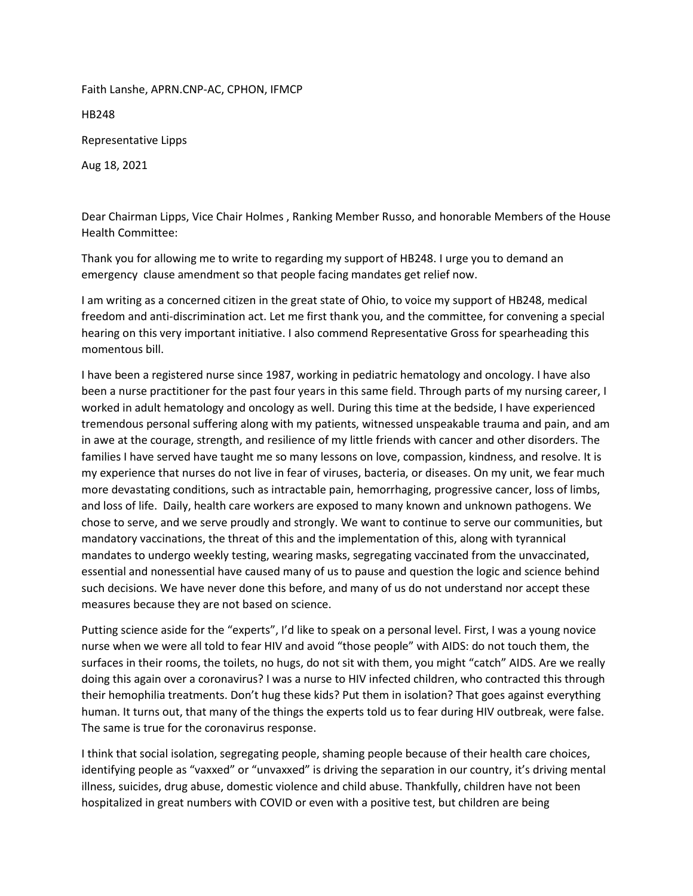Faith Lanshe, APRN.CNP-AC, CPHON, IFMCP

HB248

Representative Lipps

Aug 18, 2021

Dear Chairman Lipps, Vice Chair Holmes , Ranking Member Russo, and honorable Members of the House Health Committee:

Thank you for allowing me to write to regarding my support of HB248. I urge you to demand an emergency clause amendment so that people facing mandates get relief now.

I am writing as a concerned citizen in the great state of Ohio, to voice my support of HB248, medical freedom and anti-discrimination act. Let me first thank you, and the committee, for convening a special hearing on this very important initiative. I also commend Representative Gross for spearheading this momentous bill.

I have been a registered nurse since 1987, working in pediatric hematology and oncology. I have also been a nurse practitioner for the past four years in this same field. Through parts of my nursing career, I worked in adult hematology and oncology as well. During this time at the bedside, I have experienced tremendous personal suffering along with my patients, witnessed unspeakable trauma and pain, and am in awe at the courage, strength, and resilience of my little friends with cancer and other disorders. The families I have served have taught me so many lessons on love, compassion, kindness, and resolve. It is my experience that nurses do not live in fear of viruses, bacteria, or diseases. On my unit, we fear much more devastating conditions, such as intractable pain, hemorrhaging, progressive cancer, loss of limbs, and loss of life. Daily, health care workers are exposed to many known and unknown pathogens. We chose to serve, and we serve proudly and strongly. We want to continue to serve our communities, but mandatory vaccinations, the threat of this and the implementation of this, along with tyrannical mandates to undergo weekly testing, wearing masks, segregating vaccinated from the unvaccinated, essential and nonessential have caused many of us to pause and question the logic and science behind such decisions. We have never done this before, and many of us do not understand nor accept these measures because they are not based on science.

Putting science aside for the "experts", I'd like to speak on a personal level. First, I was a young novice nurse when we were all told to fear HIV and avoid "those people" with AIDS: do not touch them, the surfaces in their rooms, the toilets, no hugs, do not sit with them, you might "catch" AIDS. Are we really doing this again over a coronavirus? I was a nurse to HIV infected children, who contracted this through their hemophilia treatments. Don't hug these kids? Put them in isolation? That goes against everything human. It turns out, that many of the things the experts told us to fear during HIV outbreak, were false. The same is true for the coronavirus response.

I think that social isolation, segregating people, shaming people because of their health care choices, identifying people as "vaxxed" or "unvaxxed" is driving the separation in our country, it's driving mental illness, suicides, drug abuse, domestic violence and child abuse. Thankfully, children have not been hospitalized in great numbers with COVID or even with a positive test, but children are being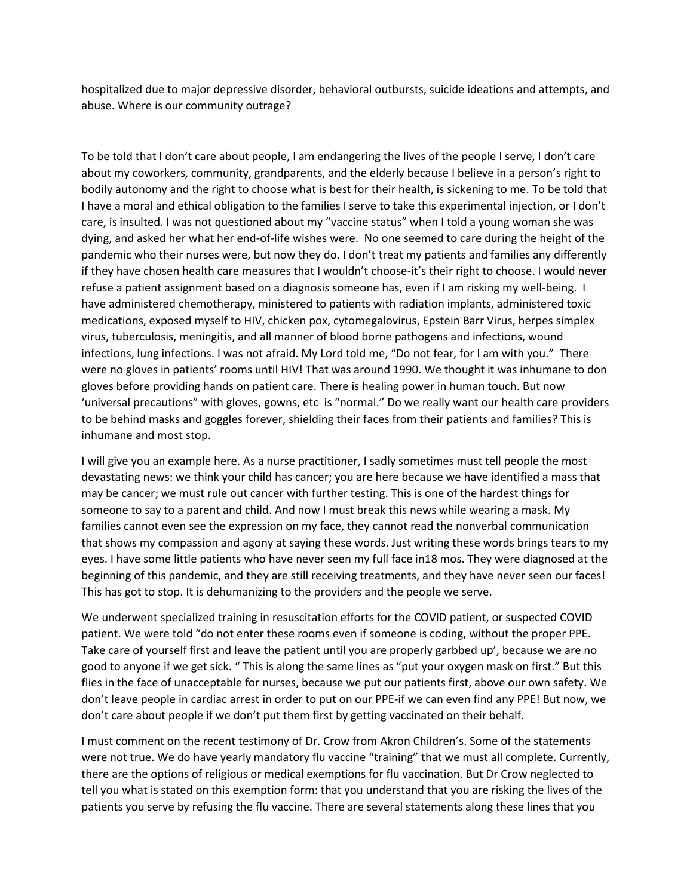hospitalized due to major depressive disorder, behavioral outbursts, suicide ideations and attempts, and abuse. Where is our community outrage?

To be told that I don't care about people, I am endangering the lives of the people I serve, I don't care about my coworkers, community, grandparents, and the elderly because I believe in a person's right to bodily autonomy and the right to choose what is best for their health, is sickening to me. To be told that I have a moral and ethical obligation to the families I serve to take this experimental injection, or I don't care, is insulted. I was not questioned about my "vaccine status" when I told a young woman she was dying, and asked her what her end-of-life wishes were. No one seemed to care during the height of the pandemic who their nurses were, but now they do. I don't treat my patients and families any differently if they have chosen health care measures that I wouldn't choose-it's their right to choose. I would never refuse a patient assignment based on a diagnosis someone has, even if I am risking my well-being. I have administered chemotherapy, ministered to patients with radiation implants, administered toxic medications, exposed myself to HIV, chicken pox, cytomegalovirus, Epstein Barr Virus, herpes simplex virus, tuberculosis, meningitis, and all manner of blood borne pathogens and infections, wound infections, lung infections. I was not afraid. My Lord told me, "Do not fear, for I am with you." There were no gloves in patients' rooms until HIV! That was around 1990. We thought it was inhumane to don gloves before providing hands on patient care. There is healing power in human touch. But now 'universal precautions" with gloves, gowns, etc is "normal." Do we really want our health care providers to be behind masks and goggles forever, shielding their faces from their patients and families? This is inhumane and most stop.

I will give you an example here. As a nurse practitioner, I sadly sometimes must tell people the most devastating news: we think your child has cancer; you are here because we have identified a mass that may be cancer; we must rule out cancer with further testing. This is one of the hardest things for someone to say to a parent and child. And now I must break this news while wearing a mask. My families cannot even see the expression on my face, they cannot read the nonverbal communication that shows my compassion and agony at saying these words. Just writing these words brings tears to my eyes. I have some little patients who have never seen my full face in18 mos. They were diagnosed at the beginning of this pandemic, and they are still receiving treatments, and they have never seen our faces! This has got to stop. It is dehumanizing to the providers and the people we serve.

We underwent specialized training in resuscitation efforts for the COVID patient, or suspected COVID patient. We were told "do not enter these rooms even if someone is coding, without the proper PPE. Take care of yourself first and leave the patient until you are properly garbbed up', because we are no good to anyone if we get sick. " This is along the same lines as "put your oxygen mask on first." But this flies in the face of unacceptable for nurses, because we put our patients first, above our own safety. We don't leave people in cardiac arrest in order to put on our PPE-if we can even find any PPE! But now, we don't care about people if we don't put them first by getting vaccinated on their behalf.

I must comment on the recent testimony of Dr. Crow from Akron Children's. Some of the statements were not true. We do have yearly mandatory flu vaccine "training" that we must all complete. Currently, there are the options of religious or medical exemptions for flu vaccination. But Dr Crow neglected to tell you what is stated on this exemption form: that you understand that you are risking the lives of the patients you serve by refusing the flu vaccine. There are several statements along these lines that you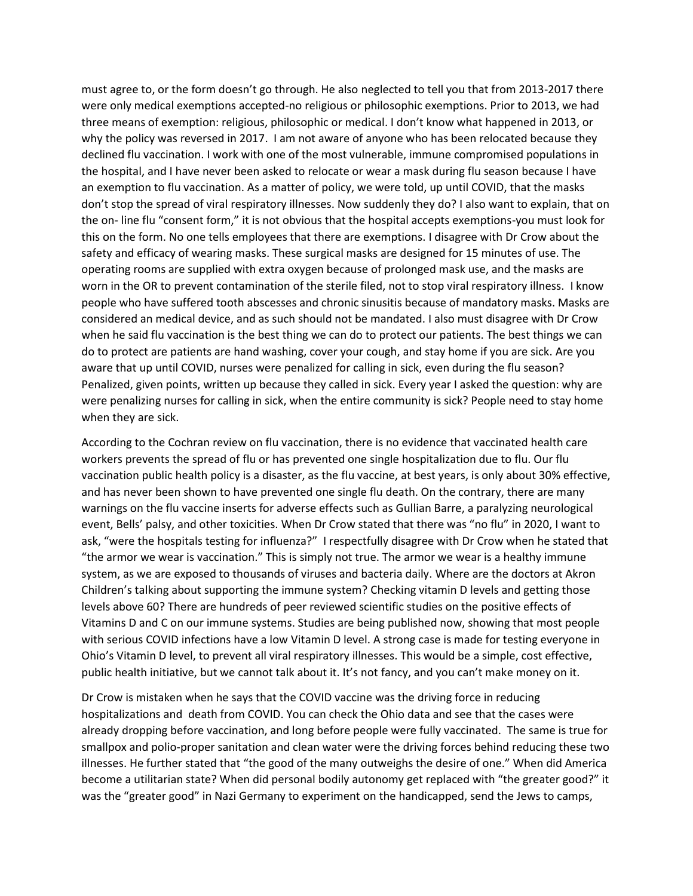must agree to, or the form doesn't go through. He also neglected to tell you that from 2013-2017 there were only medical exemptions accepted-no religious or philosophic exemptions. Prior to 2013, we had three means of exemption: religious, philosophic or medical. I don't know what happened in 2013, or why the policy was reversed in 2017. I am not aware of anyone who has been relocated because they declined flu vaccination. I work with one of the most vulnerable, immune compromised populations in the hospital, and I have never been asked to relocate or wear a mask during flu season because I have an exemption to flu vaccination. As a matter of policy, we were told, up until COVID, that the masks don't stop the spread of viral respiratory illnesses. Now suddenly they do? I also want to explain, that on the on- line flu "consent form," it is not obvious that the hospital accepts exemptions-you must look for this on the form. No one tells employees that there are exemptions. I disagree with Dr Crow about the safety and efficacy of wearing masks. These surgical masks are designed for 15 minutes of use. The operating rooms are supplied with extra oxygen because of prolonged mask use, and the masks are worn in the OR to prevent contamination of the sterile filed, not to stop viral respiratory illness. I know people who have suffered tooth abscesses and chronic sinusitis because of mandatory masks. Masks are considered an medical device, and as such should not be mandated. I also must disagree with Dr Crow when he said flu vaccination is the best thing we can do to protect our patients. The best things we can do to protect are patients are hand washing, cover your cough, and stay home if you are sick. Are you aware that up until COVID, nurses were penalized for calling in sick, even during the flu season? Penalized, given points, written up because they called in sick. Every year I asked the question: why are were penalizing nurses for calling in sick, when the entire community is sick? People need to stay home when they are sick.

According to the Cochran review on flu vaccination, there is no evidence that vaccinated health care workers prevents the spread of flu or has prevented one single hospitalization due to flu. Our flu vaccination public health policy is a disaster, as the flu vaccine, at best years, is only about 30% effective, and has never been shown to have prevented one single flu death. On the contrary, there are many warnings on the flu vaccine inserts for adverse effects such as Gullian Barre, a paralyzing neurological event, Bells' palsy, and other toxicities. When Dr Crow stated that there was "no flu" in 2020, I want to ask, "were the hospitals testing for influenza?" I respectfully disagree with Dr Crow when he stated that "the armor we wear is vaccination." This is simply not true. The armor we wear is a healthy immune system, as we are exposed to thousands of viruses and bacteria daily. Where are the doctors at Akron Children's talking about supporting the immune system? Checking vitamin D levels and getting those levels above 60? There are hundreds of peer reviewed scientific studies on the positive effects of Vitamins D and C on our immune systems. Studies are being published now, showing that most people with serious COVID infections have a low Vitamin D level. A strong case is made for testing everyone in Ohio's Vitamin D level, to prevent all viral respiratory illnesses. This would be a simple, cost effective, public health initiative, but we cannot talk about it. It's not fancy, and you can't make money on it.

Dr Crow is mistaken when he says that the COVID vaccine was the driving force in reducing hospitalizations and death from COVID. You can check the Ohio data and see that the cases were already dropping before vaccination, and long before people were fully vaccinated. The same is true for smallpox and polio-proper sanitation and clean water were the driving forces behind reducing these two illnesses. He further stated that "the good of the many outweighs the desire of one." When did America become a utilitarian state? When did personal bodily autonomy get replaced with "the greater good?" it was the "greater good" in Nazi Germany to experiment on the handicapped, send the Jews to camps,